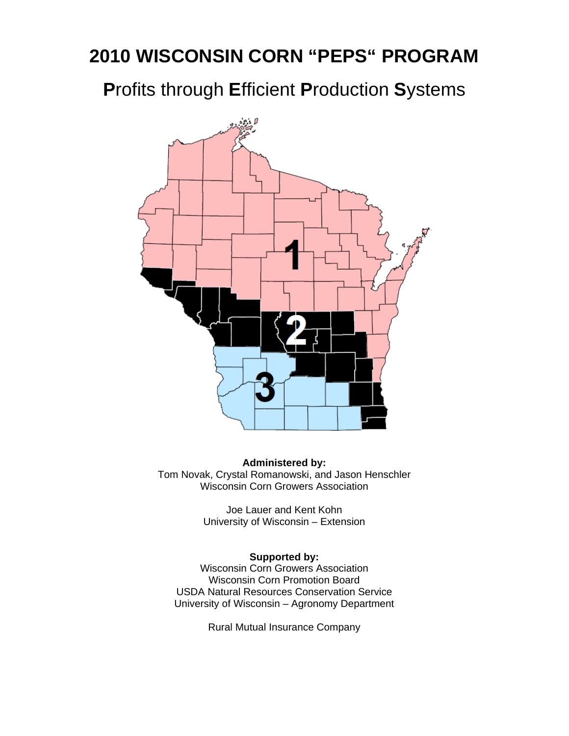# **2010 WISCONSIN CORN "PEPS" PROGRAM**

**P**rofits through **E**fficient **P**roduction **S**ystems



**Administered by:**  Tom Novak, Crystal Romanowski, and Jason Henschler Wisconsin Corn Growers Association

> Joe Lauer and Kent Kohn University of Wisconsin – Extension

#### **Supported by:**

Wisconsin Corn Growers Association Wisconsin Corn Promotion Board USDA Natural Resources Conservation Service University of Wisconsin – Agronomy Department

Rural Mutual Insurance Company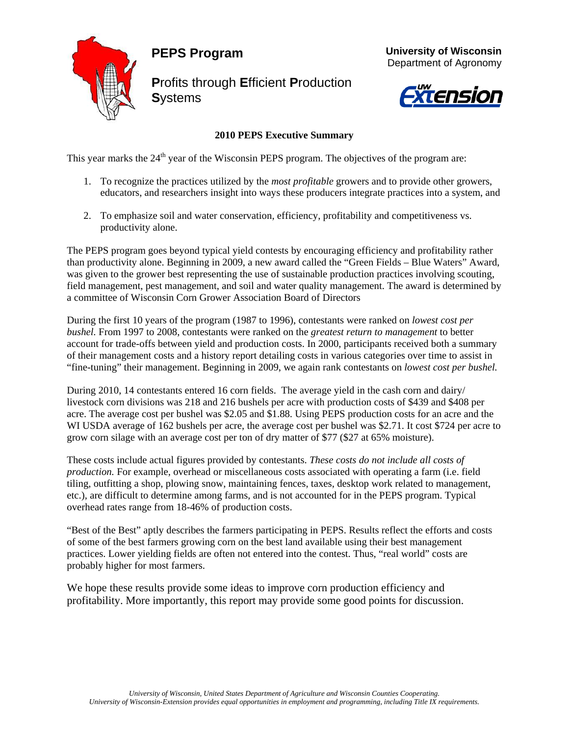### **PEPS Program**



**P**rofits through **E**fficient **P**roduction **S**ystems





#### **2010 PEPS Executive Summary**

This year marks the 24<sup>th</sup> year of the Wisconsin PEPS program. The objectives of the program are:

- 1. To recognize the practices utilized by the *most profitable* growers and to provide other growers, educators, and researchers insight into ways these producers integrate practices into a system, and
- 2. To emphasize soil and water conservation, efficiency, profitability and competitiveness vs. productivity alone.

The PEPS program goes beyond typical yield contests by encouraging efficiency and profitability rather than productivity alone. Beginning in 2009, a new award called the "Green Fields – Blue Waters" Award, was given to the grower best representing the use of sustainable production practices involving scouting, field management, pest management, and soil and water quality management. The award is determined by a committee of Wisconsin Corn Grower Association Board of Directors

During the first 10 years of the program (1987 to 1996), contestants were ranked on *lowest cost per bushel.* From 1997 to 2008, contestants were ranked on the *greatest return to management* to better account for trade-offs between yield and production costs. In 2000, participants received both a summary of their management costs and a history report detailing costs in various categories over time to assist in "fine-tuning" their management. Beginning in 2009, we again rank contestants on *lowest cost per bushel.*

During 2010, 14 contestants entered 16 corn fields. The average yield in the cash corn and dairy/ livestock corn divisions was 218 and 216 bushels per acre with production costs of \$439 and \$408 per acre. The average cost per bushel was \$2.05 and \$1.88. Using PEPS production costs for an acre and the WI USDA average of 162 bushels per acre, the average cost per bushel was \$2.71. It cost \$724 per acre to grow corn silage with an average cost per ton of dry matter of \$77 (\$27 at 65% moisture).

These costs include actual figures provided by contestants. *These costs do not include all costs of production.* For example, overhead or miscellaneous costs associated with operating a farm (i.e. field tiling, outfitting a shop, plowing snow, maintaining fences, taxes, desktop work related to management, etc.), are difficult to determine among farms, and is not accounted for in the PEPS program. Typical overhead rates range from 18-46% of production costs.

"Best of the Best" aptly describes the farmers participating in PEPS. Results reflect the efforts and costs of some of the best farmers growing corn on the best land available using their best management practices. Lower yielding fields are often not entered into the contest. Thus, "real world" costs are probably higher for most farmers.

We hope these results provide some ideas to improve corn production efficiency and profitability. More importantly, this report may provide some good points for discussion.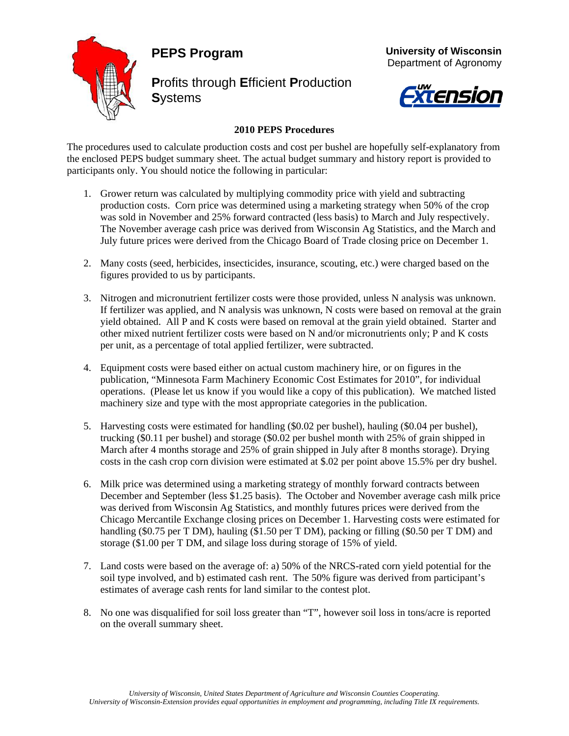#### **PEPS Program**



**P**rofits through **E**fficient **P**roduction **S**ystems



 **University of Wisconsin**

# Xtension

#### **2010 PEPS Procedures**

The procedures used to calculate production costs and cost per bushel are hopefully self-explanatory from the enclosed PEPS budget summary sheet. The actual budget summary and history report is provided to participants only. You should notice the following in particular:

- 1. Grower return was calculated by multiplying commodity price with yield and subtracting production costs. Corn price was determined using a marketing strategy when 50% of the crop was sold in November and 25% forward contracted (less basis) to March and July respectively. The November average cash price was derived from Wisconsin Ag Statistics, and the March and July future prices were derived from the Chicago Board of Trade closing price on December 1.
- 2. Many costs (seed, herbicides, insecticides, insurance, scouting, etc.) were charged based on the figures provided to us by participants.
- 3. Nitrogen and micronutrient fertilizer costs were those provided, unless N analysis was unknown. If fertilizer was applied, and N analysis was unknown, N costs were based on removal at the grain yield obtained. All P and K costs were based on removal at the grain yield obtained. Starter and other mixed nutrient fertilizer costs were based on N and/or micronutrients only; P and K costs per unit, as a percentage of total applied fertilizer, were subtracted.
- 4. Equipment costs were based either on actual custom machinery hire, or on figures in the publication, "Minnesota Farm Machinery Economic Cost Estimates for 2010", for individual operations. (Please let us know if you would like a copy of this publication). We matched listed machinery size and type with the most appropriate categories in the publication.
- 5. Harvesting costs were estimated for handling (\$0.02 per bushel), hauling (\$0.04 per bushel), trucking (\$0.11 per bushel) and storage (\$0.02 per bushel month with 25% of grain shipped in March after 4 months storage and 25% of grain shipped in July after 8 months storage). Drying costs in the cash crop corn division were estimated at \$.02 per point above 15.5% per dry bushel.
- 6. Milk price was determined using a marketing strategy of monthly forward contracts between December and September (less \$1.25 basis). The October and November average cash milk price was derived from Wisconsin Ag Statistics, and monthly futures prices were derived from the Chicago Mercantile Exchange closing prices on December 1. Harvesting costs were estimated for handling (\$0.75 per T DM), hauling (\$1.50 per T DM), packing or filling (\$0.50 per T DM) and storage (\$1.00 per T DM, and silage loss during storage of 15% of yield.
- 7. Land costs were based on the average of: a) 50% of the NRCS-rated corn yield potential for the soil type involved, and b) estimated cash rent. The 50% figure was derived from participant's estimates of average cash rents for land similar to the contest plot.
- 8. No one was disqualified for soil loss greater than "T", however soil loss in tons/acre is reported on the overall summary sheet.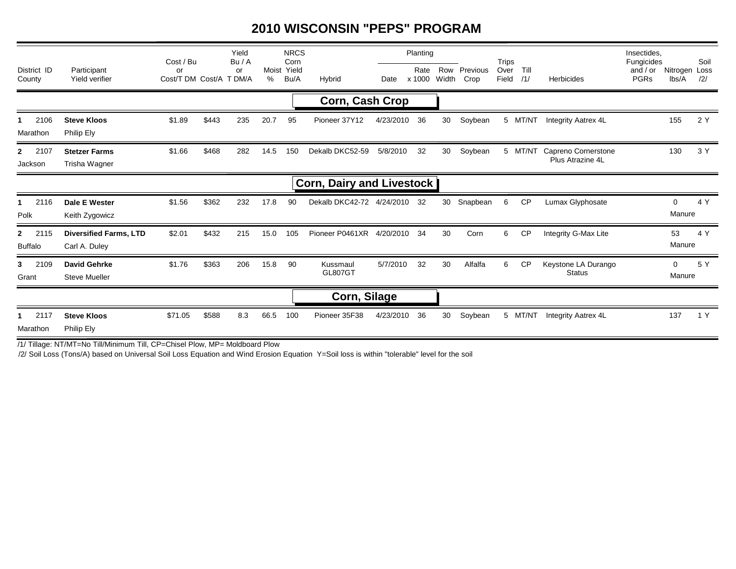#### **2010 WISCONSIN "PEPS" PROGRAM**

|                          |                                                | Cost / Bu                     |       | Yield<br>Bu/A |      | <b>NRCS</b><br>Corn |                                  | Planting     |                |    |                            | <b>Trips</b> |                           |                                                 | Insectides.<br>Fungicides |                        | Soil |
|--------------------------|------------------------------------------------|-------------------------------|-------|---------------|------|---------------------|----------------------------------|--------------|----------------|----|----------------------------|--------------|---------------------------|-------------------------------------------------|---------------------------|------------------------|------|
| District ID<br>County    | Participant<br>Yield verifier                  | or<br>Cost/T DM Cost/A T DM/A |       | or            | %    | Moist Yield<br>Bu/A | Hybrid                           | Date         | Rate<br>x 1000 |    | Row Previous<br>Width Crop |              | Over Till<br>Field<br>/1/ | Herbicides                                      | and $/$ or<br><b>PGRs</b> | Nitrogen Loss<br>lbs/A | /2/  |
| Corn, Cash Crop          |                                                |                               |       |               |      |                     |                                  |              |                |    |                            |              |                           |                                                 |                           |                        |      |
| 2106<br>Marathon         | <b>Steve Kloos</b><br>Philip Ely               | \$1.89                        | \$443 | 235           | 20.7 | 95                  | Pioneer 37Y12                    | 4/23/2010 36 |                | 30 | Soybean                    |              | 5 MT/NT                   | <b>Integrity Aatrex 4L</b>                      |                           | 155                    | 2 Y  |
| 2 2107<br>Jackson        | <b>Stetzer Farms</b><br>Trisha Wagner          | \$1.66                        | \$468 | 282           | 14.5 | 150                 | Dekalb DKC52-59                  | 5/8/2010     | 32             | 30 | Soybean                    |              |                           | 5 MT/NT Capreno Cornerstone<br>Plus Atrazine 4L |                           | 130                    | 3 Y  |
|                          |                                                |                               |       |               |      |                     | <b>Corn, Dairy and Livestock</b> |              |                |    |                            |              |                           |                                                 |                           |                        |      |
| 1 2116<br>Polk           | Dale E Wester<br>Keith Zygowicz                | \$1.56                        | \$362 | 232           | 17.8 | 90                  | Dekalb DKC42-72 4/24/2010 32     |              |                | 30 | Snapbean                   | 6            | <b>CP</b>                 | Lumax Glyphosate                                |                           | $\Omega$<br>Manure     | 4 Y  |
| 2 2115<br><b>Buffalo</b> | <b>Diversified Farms, LTD</b><br>Carl A. Duley | \$2.01                        | \$432 | 215           | 15.0 | 105                 | Pioneer P0461XR 4/20/2010 34     |              |                | 30 | Corn                       | 6            | CP                        | Integrity G-Max Lite                            |                           | 53<br>Manure           | 4 Y  |
| 3 2109<br>Grant          | <b>David Gehrke</b><br><b>Steve Mueller</b>    | \$1.76                        | \$363 | 206           | 15.8 | 90                  | Kussmaul<br><b>GL807GT</b>       | 5/7/2010     | 32             | 30 | Alfalfa                    | 6            | <b>CP</b>                 | Keystone LA Durango<br><b>Status</b>            |                           | $\Omega$<br>Manure     | 5 Y  |
|                          |                                                |                               |       |               |      |                     | Corn, Silage                     |              |                |    |                            |              |                           |                                                 |                           |                        |      |
| 1 2117<br>Marathon       | <b>Steve Kloos</b><br>Philip Ely               | \$71.05                       | \$588 | 8.3           | 66.5 | 100                 | Pioneer 35F38                    | 4/23/2010    | 36             | 30 | Soybean                    |              | 5 MT/NT                   | Integrity Aatrex 4L                             |                           | 137                    | 1 Y  |

/1/ Tillage: NT/MT=No Till/Minimum Till, CP=Chisel Plow, MP= Moldboard Plow

/2/ Soil Loss (Tons/A) based on Universal Soil Loss Equation and Wind Erosion Equation Y=Soil loss is within "tolerable" level for the soil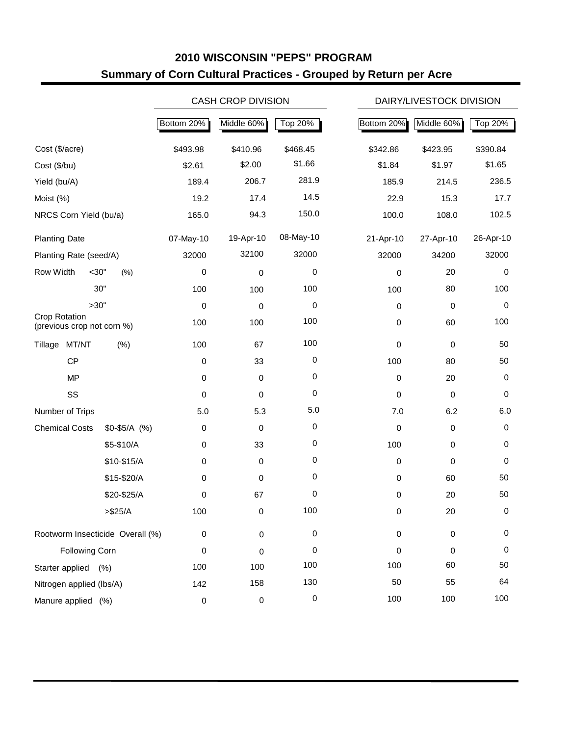#### **2010 WISCONSIN "PEPS" PROGRAM Summary of Corn Cultural Practices - Grouped by Return per Acre**

|                                             |               |             | <b>CASH CROP DIVISION</b> |           |             | DAIRY/LIVESTOCK DIVISION |             |  |  |  |
|---------------------------------------------|---------------|-------------|---------------------------|-----------|-------------|--------------------------|-------------|--|--|--|
|                                             |               | Bottom 20%  | Middle 60%                | Top 20%   | Bottom 20%  | Middle 60%               | Top 20%     |  |  |  |
| Cost (\$/acre)                              |               | \$493.98    | \$410.96                  | \$468.45  | \$342.86    | \$423.95                 | \$390.84    |  |  |  |
| Cost (\$/bu)                                |               | \$2.61      | \$2.00                    | \$1.66    | \$1.84      | \$1.97                   | \$1.65      |  |  |  |
| Yield (bu/A)                                |               | 189.4       | 206.7                     | 281.9     | 185.9       | 214.5                    | 236.5       |  |  |  |
| Moist (%)                                   |               | 19.2        | 17.4                      | 14.5      | 22.9        | 15.3                     | 17.7        |  |  |  |
| NRCS Corn Yield (bu/a)                      |               | 165.0       | 94.3                      | 150.0     | 100.0       | 108.0                    | 102.5       |  |  |  |
| <b>Planting Date</b>                        |               | 07-May-10   | 19-Apr-10                 | 08-May-10 | 21-Apr-10   | 27-Apr-10                | 26-Apr-10   |  |  |  |
| Planting Rate (seed/A)                      |               | 32000       | 32100                     | 32000     | 32000       | 34200                    | 32000       |  |  |  |
| Row Width<br>$<$ 30"                        | (% )          | 0           | $\pmb{0}$                 | 0         | 0           | 20                       | 0           |  |  |  |
|                                             | 30"           | 100         | 100                       | 100       | 100         | 80                       | 100         |  |  |  |
| >30"                                        |               | $\,0\,$     | 0                         | 0         | 0           | 0                        | $\pmb{0}$   |  |  |  |
| Crop Rotation<br>(previous crop not corn %) |               | 100         | 100                       | 100       | 0           | 60                       | 100         |  |  |  |
| Tillage MT/NT                               | (% )          | 100         | 67                        | 100       | $\mathbf 0$ | 0                        | 50          |  |  |  |
| CP                                          |               | 0           | 33                        | 0         | 100         | 80                       | 50          |  |  |  |
| <b>MP</b>                                   |               | $\mathbf 0$ | $\mathbf 0$               | 0         | $\mathbf 0$ | 20                       | 0           |  |  |  |
| SS                                          |               | 0           | 0                         | 0         | 0           | 0                        | 0           |  |  |  |
| Number of Trips                             |               | 5.0         | 5.3                       | 5.0       | 7.0         | 6.2                      | 6.0         |  |  |  |
| <b>Chemical Costs</b>                       | $$0-$5/A$ (%) | 0           | 0                         | 0         | $\mathbf 0$ | 0                        | 0           |  |  |  |
|                                             | \$5-\$10/A    | $\pmb{0}$   | 33                        | 0         | 100         | 0                        | 0           |  |  |  |
|                                             | \$10-\$15/A   | $\pmb{0}$   | $\mathbf 0$               | 0         | $\mathbf 0$ | 0                        | $\mathbf 0$ |  |  |  |
|                                             | \$15-\$20/A   | $\pmb{0}$   | 0                         | 0         | 0           | 60                       | 50          |  |  |  |
|                                             | \$20-\$25/A   | 0           | 67                        | 0         | 0           | 20                       | 50          |  |  |  |
|                                             | > \$25/A      | 100         | 0                         | 100       | 0           | 20                       | 0           |  |  |  |
| Rootworm Insecticide Overall (%)            |               | $\pmb{0}$   | $\pmb{0}$                 | $\pmb{0}$ | $\pmb{0}$   | 0                        | 0           |  |  |  |
| <b>Following Corn</b>                       |               | 0           | 0                         | 0         | 0           | 0                        | 0           |  |  |  |
| Starter applied                             | (% )          | 100         | 100                       | 100       | 100         | 60                       | 50          |  |  |  |
| Nitrogen applied (lbs/A)                    |               | 142         | 158                       | 130       | 50          | 55                       | 64          |  |  |  |
| Manure applied (%)                          |               | $\,0\,$     | $\,0\,$                   | $\pmb{0}$ | 100         | 100                      | 100         |  |  |  |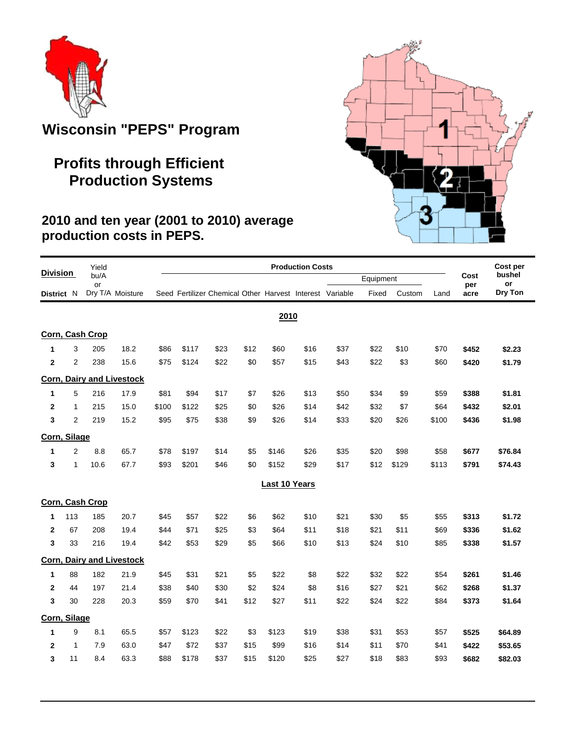

# **Wisconsin "PEPS" Program**

## **Profits through Efficient Production Systems**

#### **2010 and ten year (2001 to 2010) average production costs in PEPS.**

|                 |                | Yield           |                                  | <b>Production Costs</b> |       |                                                          |      |                      |      |      |           |        |       | Cost per    |              |
|-----------------|----------------|-----------------|----------------------------------|-------------------------|-------|----------------------------------------------------------|------|----------------------|------|------|-----------|--------|-------|-------------|--------------|
| <b>Division</b> |                | bu/A<br>or      |                                  |                         |       |                                                          |      |                      |      |      | Equipment |        |       | Cost<br>per | bushel<br>or |
| District N      |                |                 | Dry T/A Moisture                 |                         |       | Seed Fertilizer Chemical Other Harvest Interest Variable |      |                      |      |      | Fixed     | Custom | Land  | acre        | Dry Ton      |
|                 |                |                 |                                  |                         |       |                                                          |      | 2010                 |      |      |           |        |       |             |              |
|                 |                | Corn, Cash Crop |                                  |                         |       |                                                          |      |                      |      |      |           |        |       |             |              |
| $\mathbf{1}$    | 3              | 205             | 18.2                             | \$86                    | \$117 | \$23                                                     | \$12 | \$60                 | \$16 | \$37 | \$22      | \$10   | \$70  | \$452       | \$2.23       |
| $\mathbf 2$     | $\overline{2}$ | 238             | 15.6                             | \$75                    | \$124 | \$22                                                     | \$0  | \$57                 | \$15 | \$43 | \$22      | \$3    | \$60  | \$420       | \$1.79       |
|                 |                |                 | <b>Corn, Dairy and Livestock</b> |                         |       |                                                          |      |                      |      |      |           |        |       |             |              |
| 1               | 5              | 216             | 17.9                             | \$81                    | \$94  | \$17                                                     | \$7  | \$26                 | \$13 | \$50 | \$34      | \$9    | \$59  | \$388       | \$1.81       |
| $\mathbf{2}$    | 1              | 215             | 15.0                             | \$100                   | \$122 | \$25                                                     | \$0  | \$26                 | \$14 | \$42 | \$32      | \$7    | \$64  | \$432       | \$2.01       |
| 3               | $\overline{2}$ | 219             | 15.2                             | \$95                    | \$75  | \$38                                                     | \$9  | \$26                 | \$14 | \$33 | \$20      | \$26   | \$100 | \$436       | \$1.98       |
| Corn, Silage    |                |                 |                                  |                         |       |                                                          |      |                      |      |      |           |        |       |             |              |
| 1               | $\overline{2}$ | 8.8             | 65.7                             | \$78                    | \$197 | \$14                                                     | \$5  | \$146                | \$26 | \$35 | \$20      | \$98   | \$58  | \$677       | \$76.84      |
| 3               | $\mathbf{1}$   | 10.6            | 67.7                             | \$93                    | \$201 | \$46                                                     | \$0  | \$152                | \$29 | \$17 | \$12      | \$129  | \$113 | \$791       | \$74.43      |
|                 |                |                 |                                  |                         |       |                                                          |      | <b>Last 10 Years</b> |      |      |           |        |       |             |              |
|                 |                | Corn, Cash Crop |                                  |                         |       |                                                          |      |                      |      |      |           |        |       |             |              |
| 1               | 113            | 185             | 20.7                             | \$45                    | \$57  | \$22                                                     | \$6  | \$62                 | \$10 | \$21 | \$30      | \$5    | \$55  | \$313       | \$1.72       |
| $\mathbf{2}$    | 67             | 208             | 19.4                             | \$44                    | \$71  | \$25                                                     | \$3  | \$64                 | \$11 | \$18 | \$21      | \$11   | \$69  | \$336       | \$1.62       |
| 3               | 33             | 216             | 19.4                             | \$42                    | \$53  | \$29                                                     | \$5  | \$66                 | \$10 | \$13 | \$24      | \$10   | \$85  | \$338       | \$1.57       |
|                 |                |                 | <b>Corn, Dairy and Livestock</b> |                         |       |                                                          |      |                      |      |      |           |        |       |             |              |
| 1               | 88             | 182             | 21.9                             | \$45                    | \$31  | \$21                                                     | \$5  | \$22                 | \$8  | \$22 | \$32      | \$22   | \$54  | \$261       | \$1.46       |
| $\mathbf{2}$    | 44             | 197             | 21.4                             | \$38                    | \$40  | \$30                                                     | \$2  | \$24                 | \$8  | \$16 | \$27      | \$21   | \$62  | \$268       | \$1.37       |
| 3               | 30             | 228             | 20.3                             | \$59                    | \$70  | \$41                                                     | \$12 | \$27                 | \$11 | \$22 | \$24      | \$22   | \$84  | \$373       | \$1.64       |
| Corn, Silage    |                |                 |                                  |                         |       |                                                          |      |                      |      |      |           |        |       |             |              |
| 1               | 9              | 8.1             | 65.5                             | \$57                    | \$123 | \$22                                                     | \$3  | \$123                | \$19 | \$38 | \$31      | \$53   | \$57  | \$525       | \$64.89      |
| $\mathbf{2}$    | 1              | 7.9             | 63.0                             | \$47                    | \$72  | \$37                                                     | \$15 | \$99                 | \$16 | \$14 | \$11      | \$70   | \$41  | \$422       | \$53.65      |
| 3               | 11             | 8.4             | 63.3                             | \$88                    | \$178 | \$37                                                     | \$15 | \$120                | \$25 | \$27 | \$18      | \$83   | \$93  | \$682       | \$82.03      |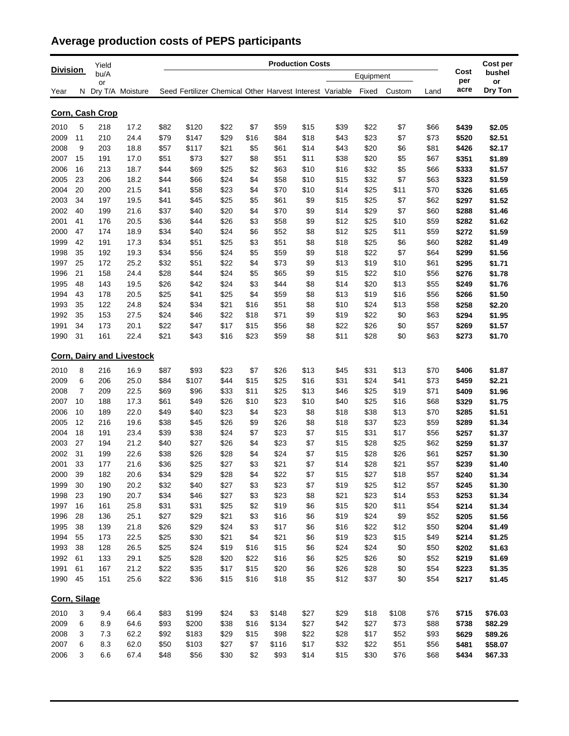## **Average production costs of PEPS participants**

|                 |    | Yield           |                                  |      | <b>Production Costs</b>                                  |      |      |       |      |      |           |        |      |                | Cost per         |
|-----------------|----|-----------------|----------------------------------|------|----------------------------------------------------------|------|------|-------|------|------|-----------|--------|------|----------------|------------------|
| <b>Division</b> |    | bu/A            |                                  |      |                                                          |      |      |       |      |      | Equipment |        |      | Cost<br>per    | bushel<br>or     |
| Year            |    | or              | N Dry T/A Moisture               |      | Seed Fertilizer Chemical Other Harvest Interest Variable |      |      |       |      |      | Fixed     | Custom | Land | acre           | Dry Ton          |
|                 |    | Corn, Cash Crop |                                  |      |                                                          |      |      |       |      |      |           |        |      |                |                  |
| 2010            | 5  | 218             | 17.2                             | \$82 | \$120                                                    | \$22 | \$7  | \$59  | \$15 | \$39 | \$22      | \$7    | \$66 | \$439          | \$2.05           |
| 2009            | 11 | 210             | 24.4                             | \$79 | \$147                                                    | \$29 | \$16 | \$84  | \$18 | \$43 | \$23      | \$7    | \$73 | \$520          | \$2.51           |
| 2008            | 9  | 203             | 18.8                             | \$57 | \$117                                                    | \$21 | \$5  | \$61  | \$14 | \$43 | \$20      | \$6    | \$81 | \$426          | \$2.17           |
| 2007            | 15 | 191             | 17.0                             | \$51 | \$73                                                     | \$27 | \$8  | \$51  | \$11 | \$38 | \$20      | \$5    | \$67 | \$351          | \$1.89           |
| 2006            | 16 | 213             | 18.7                             | \$44 | \$69                                                     | \$25 | \$2  | \$63  | \$10 | \$16 | \$32      | \$5    | \$66 | \$333          | \$1.57           |
| 2005            | 23 | 206             | 18.2                             | \$44 | \$66                                                     | \$24 | \$4  | \$58  | \$10 | \$15 | \$32      | \$7    | \$63 | \$323          | \$1.59           |
| 2004            | 20 | 200             | 21.5                             | \$41 | \$58                                                     | \$23 | \$4  | \$70  | \$10 | \$14 | \$25      | \$11   | \$70 | \$326          | \$1.65           |
| 2003            | 34 | 197             | 19.5                             | \$41 | \$45                                                     | \$25 | \$5  | \$61  | \$9  | \$15 | \$25      | \$7    | \$62 | \$297          | \$1.52           |
| 2002            | 40 | 199             | 21.6                             | \$37 | \$40                                                     | \$20 | \$4  | \$70  | \$9  | \$14 | \$29      | \$7    | \$60 | \$288          | \$1.46           |
| 2001            | 41 | 176             | 20.5                             | \$36 | \$44                                                     | \$26 | \$3  | \$58  | \$9  | \$12 | \$25      | \$10   | \$59 | \$282          | \$1.62           |
| 2000            | 47 | 174             | 18.9                             | \$34 | \$40                                                     | \$24 | \$6  | \$52  | \$8  | \$12 | \$25      | \$11   | \$59 | \$272          | \$1.59           |
| 1999            | 42 | 191             | 17.3                             | \$34 | \$51                                                     | \$25 | \$3  | \$51  | \$8  | \$18 | \$25      | \$6    | \$60 | \$282          | \$1.49           |
| 1998            | 35 | 192             | 19.3                             | \$34 | \$56                                                     | \$24 | \$5  | \$59  | \$9  | \$18 | \$22      | \$7    | \$64 | \$299          | \$1.56           |
| 1997            | 25 | 172             | 25.2                             | \$32 | \$51                                                     | \$22 | \$4  | \$73  | \$9  | \$13 | \$19      | \$10   | \$61 | \$295          | \$1.71           |
| 1996            | 21 | 158             | 24.4                             | \$28 | \$44                                                     | \$24 | \$5  | \$65  | \$9  | \$15 | \$22      | \$10   | \$56 | \$276          | \$1.78           |
| 1995            | 48 | 143             | 19.5                             | \$26 | \$42                                                     | \$24 | \$3  | \$44  | \$8  | \$14 | \$20      | \$13   | \$55 | \$249          | \$1.76           |
| 1994            | 43 | 178             | 20.5                             | \$25 | \$41                                                     | \$25 | \$4  | \$59  | \$8  | \$13 | \$19      | \$16   | \$56 | \$266          | \$1.50           |
| 1993            | 35 | 122             | 24.8                             | \$24 | \$34                                                     | \$21 | \$16 | \$51  | \$8  | \$10 | \$24      | \$13   | \$58 | \$258          | \$2.20           |
| 1992            | 35 | 153             | 27.5                             | \$24 | \$46                                                     | \$22 | \$18 | \$71  | \$9  | \$19 | \$22      | \$0    | \$63 | \$294          | \$1.95           |
| 1991            | 34 | 173             | 20.1                             | \$22 | \$47                                                     | \$17 | \$15 | \$56  | \$8  | \$22 | \$26      | \$0    | \$57 | \$269          | \$1.57           |
| 1990            | 31 | 161             | 22.4                             | \$21 | \$43                                                     | \$16 | \$23 | \$59  | \$8  | \$11 | \$28      | \$0    | \$63 | \$273          | \$1.70           |
|                 |    |                 | <b>Corn, Dairy and Livestock</b> |      |                                                          |      |      |       |      |      |           |        |      |                |                  |
| 2010            | 8  | 216             | 16.9                             | \$87 | \$93                                                     | \$23 | \$7  | \$26  | \$13 | \$45 | \$31      | \$13   | \$70 |                |                  |
| 2009            | 6  | 206             | 25.0                             | \$84 | \$107                                                    | \$44 | \$15 | \$25  | \$16 | \$31 | \$24      | \$41   | \$73 | \$406          | \$1.87           |
| 2008            | 7  | 209             | 22.5                             | \$69 | \$96                                                     | \$33 | \$11 | \$25  | \$13 | \$46 | \$25      | \$19   | \$71 | \$459<br>\$409 | \$2.21<br>\$1.96 |
| 2007            | 10 | 188             | 17.3                             | \$61 | \$49                                                     | \$26 | \$10 | \$23  | \$10 | \$40 | \$25      | \$16   | \$68 | \$329          | \$1.75           |
| 2006            | 10 | 189             | 22.0                             | \$49 | \$40                                                     | \$23 | \$4  | \$23  | \$8  | \$18 | \$38      | \$13   | \$70 | \$285          | \$1.51           |
| 2005            | 12 | 216             | 19.6                             | \$38 | \$45                                                     | \$26 | \$9  | \$26  | \$8  | \$18 | \$37      | \$23   | \$59 | \$289          | \$1.34           |
| 2004            | 18 | 191             | 23.4                             | \$39 | \$38                                                     | \$24 | \$7  | \$23  | \$7  | \$15 | \$31      | \$17   | \$56 | \$257          | \$1.37           |
| 2003            | 27 | 194             | 21.2                             | \$40 | \$27                                                     | \$26 | \$4  | \$23  | \$7  | \$15 | \$28      | \$25   | \$62 | \$259          | \$1.37           |
| 2002            | 31 | 199             | 22.6                             | \$38 | \$26                                                     | \$28 | \$4  | \$24  | \$7  | \$15 | \$28      | \$26   | \$61 | \$257          | \$1.30           |
| 2001            | 33 | 177             | 21.6                             | \$36 | \$25                                                     | \$27 | \$3  | \$21  | \$7  | \$14 | \$28      | \$21   | \$57 | \$239          | \$1.40           |
| 2000            | 39 | 182             | 20.6                             | \$34 | \$29                                                     | \$28 | \$4  | \$22  | \$7  | \$15 | \$27      | \$18   | \$57 | \$240          | \$1.34           |
| 1999            | 30 | 190             | 20.2                             | \$32 | \$40                                                     | \$27 | \$3  | \$23  | \$7  | \$19 | \$25      | \$12   | \$57 | \$245          | \$1.30           |
| 1998            | 23 | 190             | 20.7                             | \$34 | \$46                                                     | \$27 | \$3  | \$23  | \$8  | \$21 | \$23      | \$14   | \$53 | \$253          | \$1.34           |
| 1997            | 16 | 161             | 25.8                             | \$31 | \$31                                                     | \$25 | \$2  | \$19  | \$6  | \$15 | \$20      | \$11   | \$54 | \$214          | \$1.34           |
| 1996            | 28 | 136             | 25.1                             | \$27 | \$29                                                     | \$21 | \$3  | \$16  | \$6  | \$19 | \$24      | \$9    | \$52 | \$205          | \$1.56           |
| 1995            | 38 | 139             | 21.8                             | \$26 | \$29                                                     | \$24 | \$3  | \$17  | \$6  | \$16 | \$22      | \$12   | \$50 | \$204          | \$1.49           |
| 1994            | 55 | 173             | 22.5                             | \$25 | \$30                                                     | \$21 | \$4  | \$21  | \$6  | \$19 | \$23      | \$15   | \$49 | \$214          | \$1.25           |
| 1993            | 38 | 128             | 26.5                             | \$25 | \$24                                                     | \$19 | \$16 | \$15  | \$6  | \$24 | \$24      | \$0    | \$50 | \$202          | \$1.63           |
| 1992            | 61 | 133             | 29.1                             | \$25 | \$28                                                     | \$20 | \$22 | \$16  | \$6  | \$25 | \$26      | \$0    | \$52 | \$219          | \$1.69           |
| 1991            | 61 | 167             | 21.2                             | \$22 | \$35                                                     | \$17 | \$15 | \$20  | \$6  | \$26 | \$28      | \$0    | \$54 | \$223          | \$1.35           |
| 1990            | 45 | 151             | 25.6                             | \$22 | \$36                                                     | \$15 | \$16 | \$18  | \$5  | \$12 | \$37      | \$0    | \$54 | \$217          | \$1.45           |
|                 |    |                 |                                  |      |                                                          |      |      |       |      |      |           |        |      |                |                  |
| Corn, Silage    |    |                 |                                  |      |                                                          |      |      |       |      |      |           |        |      |                |                  |
| 2010            | 3  | 9.4             | 66.4                             | \$83 | \$199                                                    | \$24 | \$3  | \$148 | \$27 | \$29 | \$18      | \$108  | \$76 | \$715          | \$76.03          |
| 2009            | 6  | 8.9             | 64.6                             | \$93 | \$200                                                    | \$38 | \$16 | \$134 | \$27 | \$42 | \$27      | \$73   | \$88 | \$738          | \$82.29          |
| 2008            | 3  | 7.3             | 62.2                             | \$92 | \$183                                                    | \$29 | \$15 | \$98  | \$22 | \$28 | \$17      | \$52   | \$93 | \$629          | \$89.26          |
| 2007            | 6  | 8.3             | 62.0                             | \$50 | \$103                                                    | \$27 | \$7  | \$116 | \$17 | \$32 | \$22      | \$51   | \$56 | \$481          | \$58.07          |
| 2006            | 3  | 6.6             | 67.4                             | \$48 | \$56                                                     | \$30 | \$2  | \$93  | \$14 | \$15 | \$30      | \$76   | \$68 | \$434          | \$67.33          |